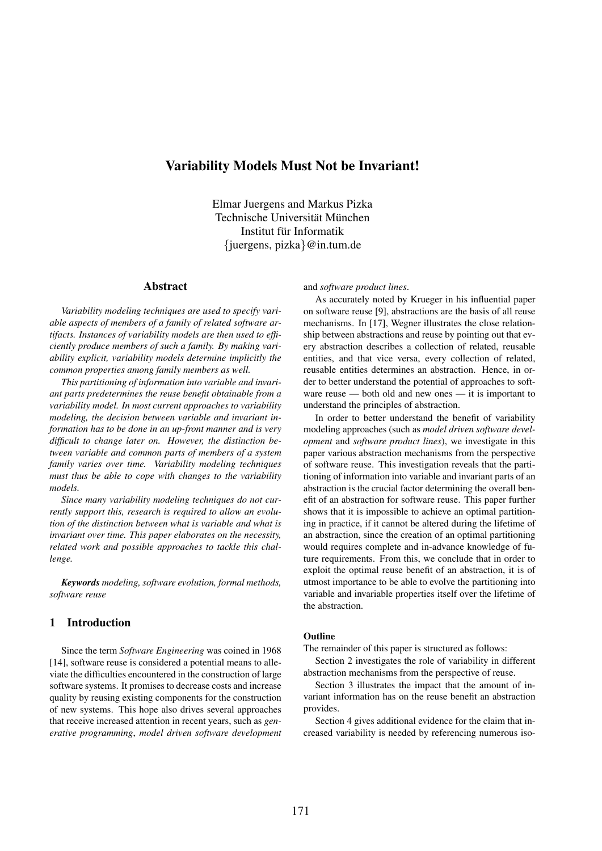# Variability Models Must Not be Invariant!

Elmar Juergens and Markus Pizka Technische Universität München Institut für Informatik {juergens, pizka}@in.tum.de

#### Abstract

*Variability modeling techniques are used to specify variable aspects of members of a family of related software artifacts. Instances of variability models are then used to efficiently produce members of such a family. By making variability explicit, variability models determine implicitly the common properties among family members as well.*

*This partitioning of information into variable and invariant parts predetermines the reuse benefit obtainable from a variability model. In most current approaches to variability modeling, the decision between variable and invariant information has to be done in an up-front manner and is very difficult to change later on. However, the distinction between variable and common parts of members of a system family varies over time. Variability modeling techniques must thus be able to cope with changes to the variability models.*

*Since many variability modeling techniques do not currently support this, research is required to allow an evolution of the distinction between what is variable and what is invariant over time. This paper elaborates on the necessity, related work and possible approaches to tackle this challenge.*

*Keywords modeling, software evolution, formal methods, software reuse*

### 1 Introduction

Since the term *Software Engineering* was coined in 1968 [14], software reuse is considered a potential means to alleviate the difficulties encountered in the construction of large software systems. It promises to decrease costs and increase quality by reusing existing components for the construction of new systems. This hope also drives several approaches that receive increased attention in recent years, such as *generative programming*, *model driven software development* and *software product lines*.

As accurately noted by Krueger in his influential paper on software reuse [9], abstractions are the basis of all reuse mechanisms. In [17], Wegner illustrates the close relationship between abstractions and reuse by pointing out that every abstraction describes a collection of related, reusable entities, and that vice versa, every collection of related, reusable entities determines an abstraction. Hence, in order to better understand the potential of approaches to software reuse — both old and new ones — it is important to understand the principles of abstraction.

In order to better understand the benefit of variability modeling approaches (such as *model driven software development* and *software product lines*), we investigate in this paper various abstraction mechanisms from the perspective of software reuse. This investigation reveals that the partitioning of information into variable and invariant parts of an abstraction is the crucial factor determining the overall benefit of an abstraction for software reuse. This paper further shows that it is impossible to achieve an optimal partitioning in practice, if it cannot be altered during the lifetime of an abstraction, since the creation of an optimal partitioning would requires complete and in-advance knowledge of future requirements. From this, we conclude that in order to exploit the optimal reuse benefit of an abstraction, it is of utmost importance to be able to evolve the partitioning into variable and invariable properties itself over the lifetime of the abstraction.

#### **Outline**

The remainder of this paper is structured as follows:

Section 2 investigates the role of variability in different abstraction mechanisms from the perspective of reuse.

Section 3 illustrates the impact that the amount of invariant information has on the reuse benefit an abstraction provides.

Section 4 gives additional evidence for the claim that increased variability is needed by referencing numerous iso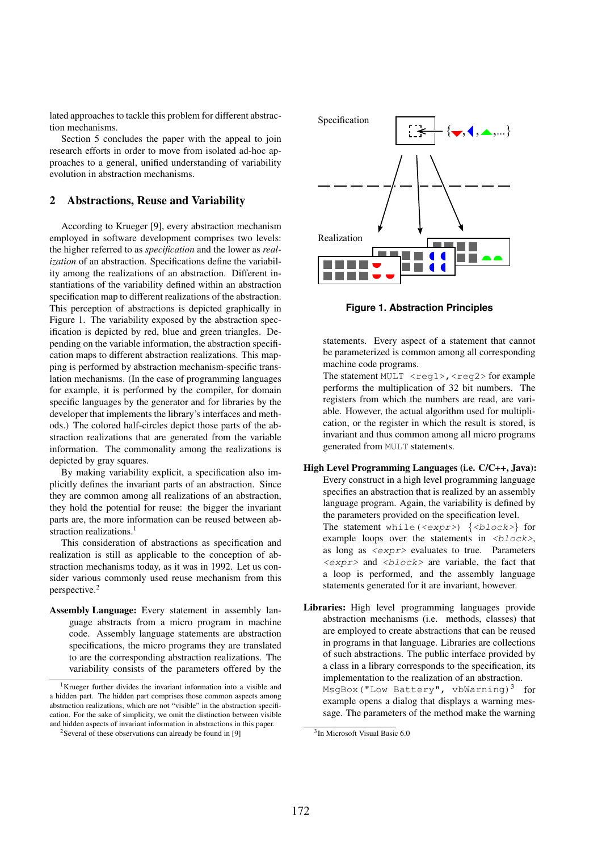lated approaches to tackle this problem for different abstraction mechanisms.

Section 5 concludes the paper with the appeal to join research efforts in order to move from isolated ad-hoc approaches to a general, unified understanding of variability evolution in abstraction mechanisms.

## 2 Abstractions, Reuse and Variability

According to Krueger [9], every abstraction mechanism employed in software development comprises two levels: the higher referred to as *specification* and the lower as *realization* of an abstraction. Specifications define the variability among the realizations of an abstraction. Different instantiations of the variability defined within an abstraction specification map to different realizations of the abstraction. This perception of abstractions is depicted graphically in Figure 1. The variability exposed by the abstraction specification is depicted by red, blue and green triangles. Depending on the variable information, the abstraction specification maps to different abstraction realizations. This mapping is performed by abstraction mechanism-specific translation mechanisms. (In the case of programming languages for example, it is performed by the compiler, for domain specific languages by the generator and for libraries by the developer that implements the library's interfaces and methods.) The colored half-circles depict those parts of the abstraction realizations that are generated from the variable information. The commonality among the realizations is depicted by gray squares.

By making variability explicit, a specification also implicitly defines the invariant parts of an abstraction. Since they are common among all realizations of an abstraction, they hold the potential for reuse: the bigger the invariant parts are, the more information can be reused between abstraction realizations.<sup>1</sup>

This consideration of abstractions as specification and realization is still as applicable to the conception of abstraction mechanisms today, as it was in 1992. Let us consider various commonly used reuse mechanism from this perspective.2

Assembly Language: Every statement in assembly language abstracts from a micro program in machine code. Assembly language statements are abstraction specifications, the micro programs they are translated to are the corresponding abstraction realizations. The variability consists of the parameters offered by the



**Figure 1. Abstraction Principles**

statements. Every aspect of a statement that cannot be parameterized is common among all corresponding machine code programs.

The statement MULT  $\langle \text{req1}\rangle$ ,  $\langle \text{req2}\rangle$  for example performs the multiplication of 32 bit numbers. The registers from which the numbers are read, are variable. However, the actual algorithm used for multiplication, or the register in which the result is stored, is invariant and thus common among all micro programs generated from MULT statements.

- High Level Programming Languages (i.e. C/C++, Java): Every construct in a high level programming language specifies an abstraction that is realized by an assembly language program. Again, the variability is defined by the parameters provided on the specification level. The statement while( $\langle \exp r \rangle$ )  $\{ \langle \text{block} \rangle \}$  for example loops over the statements in  $\langle$ block>, as long as  $\langle \exp(z) \rangle$  evaluates to true. Parameters  $\langle \exp r \rangle$  and  $\langle \text{block} \rangle$  are variable, the fact that a loop is performed, and the assembly language statements generated for it are invariant, however.
- Libraries: High level programming languages provide abstraction mechanisms (i.e. methods, classes) that are employed to create abstractions that can be reused in programs in that language. Libraries are collections of such abstractions. The public interface provided by a class in a library corresponds to the specification, its implementation to the realization of an abstraction.  $MsgBox("Low Battery", vbWarning)<sup>3</sup> for$ example opens a dialog that displays a warning message. The parameters of the method make the warning

<sup>&</sup>lt;sup>1</sup>Krueger further divides the invariant information into a visible and a hidden part. The hidden part comprises those common aspects among abstraction realizations, which are not "visible" in the abstraction specification. For the sake of simplicity, we omit the distinction between visible and hidden aspects of invariant information in abstractions in this paper.

<sup>&</sup>lt;sup>2</sup>Several of these observations can already be found in [9]

<sup>3</sup>In Microsoft Visual Basic 6.0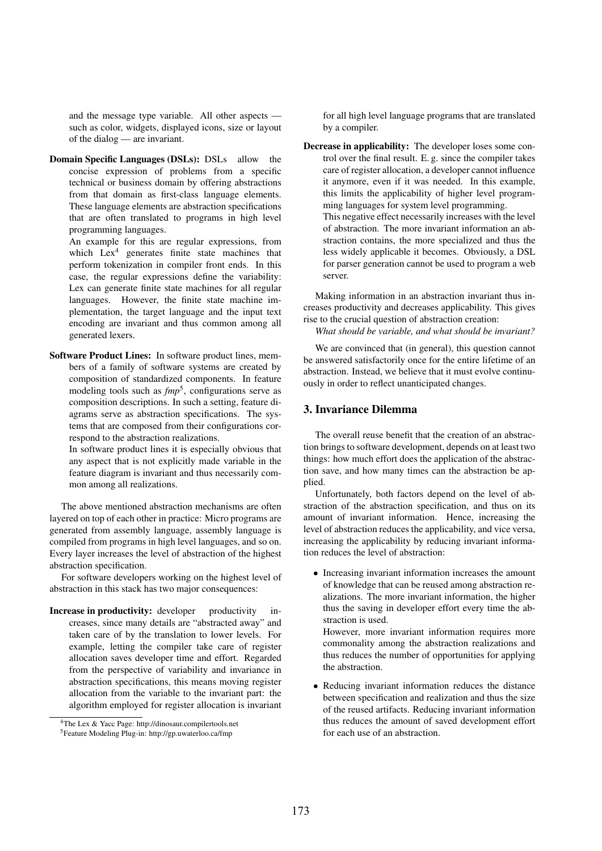and the message type variable. All other aspects such as color, widgets, displayed icons, size or layout of the dialog — are invariant.

Domain Specific Languages (DSLs): DSLs allow the concise expression of problems from a specific technical or business domain by offering abstractions from that domain as first-class language elements. These language elements are abstraction specifications that are often translated to programs in high level programming languages.

An example for this are regular expressions, from which  $Lex<sup>4</sup>$  generates finite state machines that perform tokenization in compiler front ends. In this case, the regular expressions define the variability: Lex can generate finite state machines for all regular languages. However, the finite state machine implementation, the target language and the input text encoding are invariant and thus common among all generated lexers.

Software Product Lines: In software product lines, members of a family of software systems are created by composition of standardized components. In feature modeling tools such as  $fmp^5$ , configurations serve as composition descriptions. In such a setting, feature diagrams serve as abstraction specifications. The systems that are composed from their configurations correspond to the abstraction realizations.

In software product lines it is especially obvious that any aspect that is not explicitly made variable in the feature diagram is invariant and thus necessarily common among all realizations.

The above mentioned abstraction mechanisms are often layered on top of each other in practice: Micro programs are generated from assembly language, assembly language is compiled from programs in high level languages, and so on. Every layer increases the level of abstraction of the highest abstraction specification.

For software developers working on the highest level of abstraction in this stack has two major consequences:

Increase in productivity: developer productivity increases, since many details are "abstracted away" and taken care of by the translation to lower levels. For example, letting the compiler take care of register allocation saves developer time and effort. Regarded from the perspective of variability and invariance in abstraction specifications, this means moving register allocation from the variable to the invariant part: the algorithm employed for register allocation is invariant for all high level language programs that are translated by a compiler.

Decrease in applicability: The developer loses some control over the final result. E. g. since the compiler takes care of register allocation, a developer cannot influence it anymore, even if it was needed. In this example, this limits the applicability of higher level programming languages for system level programming. This negative effect necessarily increases with the level of abstraction. The more invariant information an abstraction contains, the more specialized and thus the less widely applicable it becomes. Obviously, a DSL for parser generation cannot be used to program a web server.

Making information in an abstraction invariant thus increases productivity and decreases applicability. This gives rise to the crucial question of abstraction creation:

*What should be variable, and what should be invariant?*

We are convinced that (in general), this question cannot be answered satisfactorily once for the entire lifetime of an abstraction. Instead, we believe that it must evolve continuously in order to reflect unanticipated changes.

## 3. Invariance Dilemma

The overall reuse benefit that the creation of an abstraction brings to software development, depends on at least two things: how much effort does the application of the abstraction save, and how many times can the abstraction be applied.

Unfortunately, both factors depend on the level of abstraction of the abstraction specification, and thus on its amount of invariant information. Hence, increasing the level of abstraction reduces the applicability, and vice versa, increasing the applicability by reducing invariant information reduces the level of abstraction:

• Increasing invariant information increases the amount of knowledge that can be reused among abstraction realizations. The more invariant information, the higher thus the saving in developer effort every time the abstraction is used.

However, more invariant information requires more commonality among the abstraction realizations and thus reduces the number of opportunities for applying the abstraction.

• Reducing invariant information reduces the distance between specification and realization and thus the size of the reused artifacts. Reducing invariant information thus reduces the amount of saved development effort for each use of an abstraction.

<sup>4</sup>The Lex & Yacc Page: http://dinosaur.compilertools.net 5Feature Modeling Plug-in: http://gp.uwaterloo.ca/fmp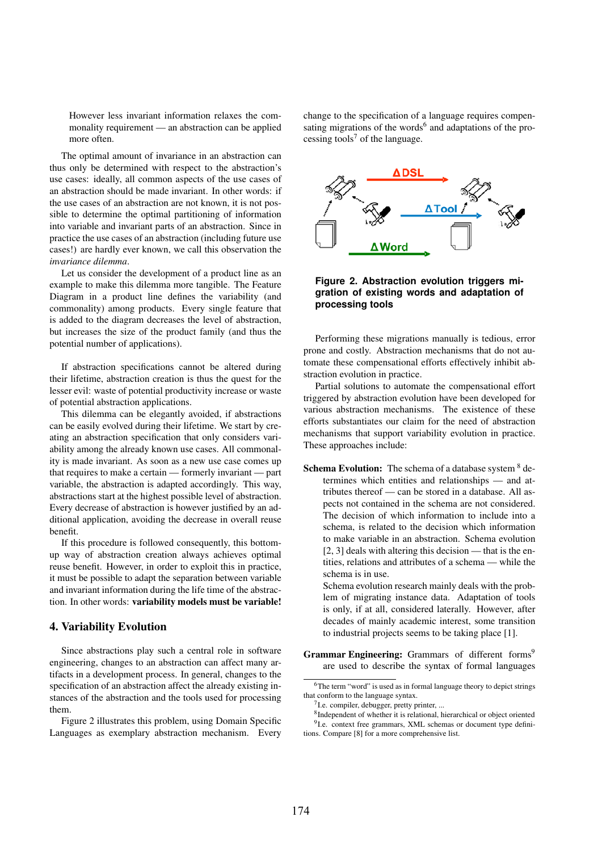However less invariant information relaxes the commonality requirement — an abstraction can be applied more often.

The optimal amount of invariance in an abstraction can thus only be determined with respect to the abstraction's use cases: ideally, all common aspects of the use cases of an abstraction should be made invariant. In other words: if the use cases of an abstraction are not known, it is not possible to determine the optimal partitioning of information into variable and invariant parts of an abstraction. Since in practice the use cases of an abstraction (including future use cases!) are hardly ever known, we call this observation the *invariance dilemma*.

Let us consider the development of a product line as an example to make this dilemma more tangible. The Feature Diagram in a product line defines the variability (and commonality) among products. Every single feature that is added to the diagram decreases the level of abstraction, but increases the size of the product family (and thus the potential number of applications).

If abstraction specifications cannot be altered during their lifetime, abstraction creation is thus the quest for the lesser evil: waste of potential productivity increase or waste of potential abstraction applications.

This dilemma can be elegantly avoided, if abstractions can be easily evolved during their lifetime. We start by creating an abstraction specification that only considers variability among the already known use cases. All commonality is made invariant. As soon as a new use case comes up that requires to make a certain — formerly invariant — part variable, the abstraction is adapted accordingly. This way, abstractions start at the highest possible level of abstraction. Every decrease of abstraction is however justified by an additional application, avoiding the decrease in overall reuse benefit.

If this procedure is followed consequently, this bottomup way of abstraction creation always achieves optimal reuse benefit. However, in order to exploit this in practice, it must be possible to adapt the separation between variable and invariant information during the life time of the abstraction. In other words: variability models must be variable!

#### 4. Variability Evolution

Since abstractions play such a central role in software engineering, changes to an abstraction can affect many artifacts in a development process. In general, changes to the specification of an abstraction affect the already existing instances of the abstraction and the tools used for processing them.

Figure 2 illustrates this problem, using Domain Specific Languages as exemplary abstraction mechanism. Every change to the specification of a language requires compensating migrations of the words $<sup>6</sup>$  and adaptations of the pro-</sup> cessing tools<sup>7</sup> of the language.



#### **Figure 2. Abstraction evolution triggers migration of existing words and adaptation of processing tools**

Performing these migrations manually is tedious, error prone and costly. Abstraction mechanisms that do not automate these compensational efforts effectively inhibit abstraction evolution in practice.

Partial solutions to automate the compensational effort triggered by abstraction evolution have been developed for various abstraction mechanisms. The existence of these efforts substantiates our claim for the need of abstraction mechanisms that support variability evolution in practice. These approaches include:

Schema Evolution: The schema of a database system  $8$  determines which entities and relationships — and attributes thereof — can be stored in a database. All aspects not contained in the schema are not considered. The decision of which information to include into a schema, is related to the decision which information to make variable in an abstraction. Schema evolution [2, 3] deals with altering this decision — that is the entities, relations and attributes of a schema — while the schema is in use.

Schema evolution research mainly deals with the problem of migrating instance data. Adaptation of tools is only, if at all, considered laterally. However, after decades of mainly academic interest, some transition to industrial projects seems to be taking place [1].

Grammar Engineering: Grammars of different forms<sup>9</sup> are used to describe the syntax of formal languages

<sup>&</sup>lt;sup>6</sup>The term "word" is used as in formal language theory to depict strings that conform to the language syntax.

<sup>7</sup>I.e. compiler, debugger, pretty printer, ...

<sup>8</sup>Independent of whether it is relational, hierarchical or object oriented <sup>9</sup>I.e. context free grammars, XML schemas or document type definitions. Compare [8] for a more comprehensive list.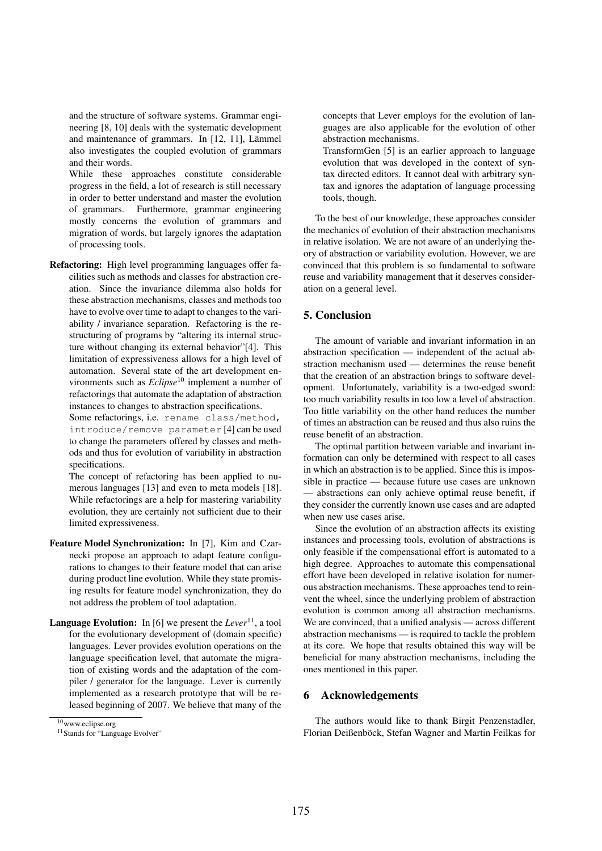and the structure of software systems. Grammar engineering [8, 10] deals with the systematic development and maintenance of grammars. In  $[12, 11]$ , Lämmel also investigates the coupled evolution of grammars and their words.

While these approaches constitute considerable progress in the field, a lot of research is still necessary in order to better understand and master the evolution of grammars. Furthermore, grammar engineering mostly concerns the evolution of grammars and migration of words, but largely ignores the adaptation of processing tools.

Refactoring: High level programming languages offer facilities such as methods and classes for abstraction creation. Since the invariance dilemma also holds for these abstraction mechanisms, classes and methods too have to evolve over time to adapt to changes to the variability / invariance separation. Refactoring is the restructuring of programs by "altering its internal structure without changing its external behavior"[4]. This limitation of expressiveness allows for a high level of automation. Several state of the art development environments such as *Eclipse*<sup>10</sup> implement a number of refactorings that automate the adaptation of abstraction instances to changes to abstraction specifications.

Some refactorings, i.e. rename class/method, introduce/remove parameter [4] can be used to change the parameters offered by classes and methods and thus for evolution of variability in abstraction specifications.

The concept of refactoring has been applied to numerous languages [13] and even to meta models [18]. While refactorings are a help for mastering variability evolution, they are certainly not sufficient due to their limited expressiveness.

- Feature Model Synchronization: In [7], Kim and Czarnecki propose an approach to adapt feature configurations to changes to their feature model that can arise during product line evolution. While they state promising results for feature model synchronization, they do not address the problem of tool adaptation.
- **Language Evolution:** In [6] we present the *Lever*<sup>11</sup>, a tool for the evolutionary development of (domain specific) languages. Lever provides evolution operations on the language specification level, that automate the migration of existing words and the adaptation of the compiler / generator for the language. Lever is currently implemented as a research prototype that will be released beginning of 2007. We believe that many of the

concepts that Lever employs for the evolution of languages are also applicable for the evolution of other abstraction mechanisms.

TransformGen [5] is an earlier approach to language evolution that was developed in the context of syntax directed editors. It cannot deal with arbitrary syntax and ignores the adaptation of language processing tools, though.

To the best of our knowledge, these approaches consider the mechanics of evolution of their abstraction mechanisms in relative isolation. We are not aware of an underlying theory of abstraction or variability evolution. However, we are convinced that this problem is so fundamental to software reuse and variability management that it deserves consideration on a general level.

## 5. Conclusion

The amount of variable and invariant information in an abstraction specification — independent of the actual abstraction mechanism used — determines the reuse benefit that the creation of an abstraction brings to software development. Unfortunately, variability is a two-edged sword: too much variability results in too low a level of abstraction. Too little variability on the other hand reduces the number of times an abstraction can be reused and thus also ruins the reuse benefit of an abstraction.

The optimal partition between variable and invariant information can only be determined with respect to all cases in which an abstraction is to be applied. Since this is impossible in practice — because future use cases are unknown — abstractions can only achieve optimal reuse benefit, if they consider the currently known use cases and are adapted when new use cases arise.

Since the evolution of an abstraction affects its existing instances and processing tools, evolution of abstractions is only feasible if the compensational effort is automated to a high degree. Approaches to automate this compensational effort have been developed in relative isolation for numerous abstraction mechanisms. These approaches tend to reinvent the wheel, since the underlying problem of abstraction evolution is common among all abstraction mechanisms. We are convinced, that a unified analysis — across different abstraction mechanisms — is required to tackle the problem at its core. We hope that results obtained this way will be beneficial for many abstraction mechanisms, including the ones mentioned in this paper.

#### 6 Acknowledgements

The authors would like to thank Birgit Penzenstadler, Florian Deißenböck, Stefan Wagner and Martin Feilkas for

<sup>10</sup>www.eclipse.org

<sup>&</sup>lt;sup>11</sup> Stands for "Language Evolver"